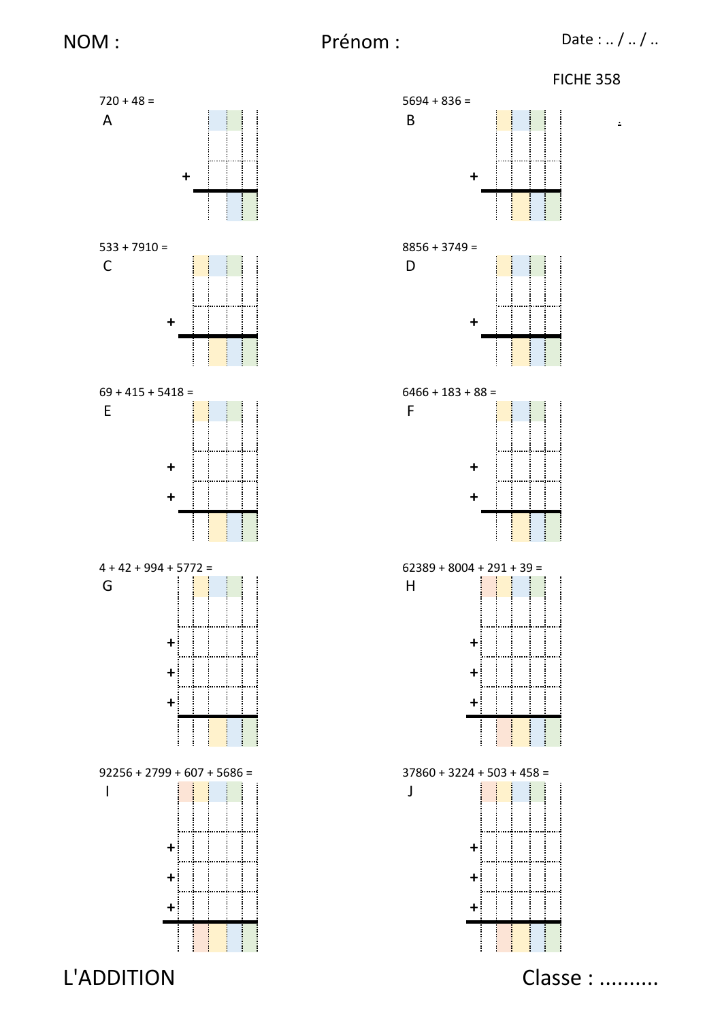



L'ADDITION

Classe : ..........